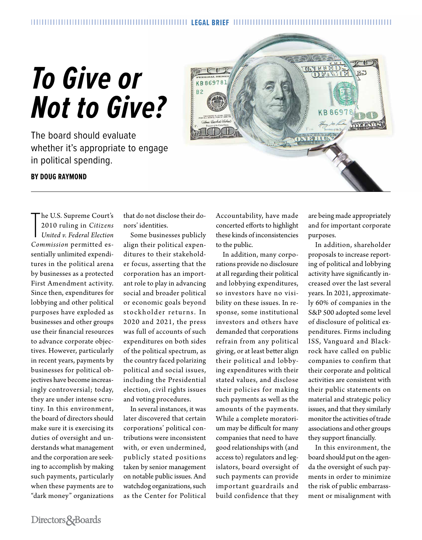## *To Give or Not to Give?*

The board should evaluate whether it's appropriate to engage in political spending.



## **BY DOUG RAYMOND**

The U.S. Supreme Court's<br>
2010 ruling in Citizens<br>
United v. Federal Election<br>
Commission permitted eshe U.S. Supreme Court's 2010 ruling in *Citizens United v. Federal Election*  sentially unlimited expenditures in the political arena by businesses as a protected First Amendment activity. Since then, expenditures for lobbying and other political purposes have exploded as businesses and other groups use their financial resources to advance corporate objectives. However, particularly in recent years, payments by businesses for political objectives have become increasingly controversial; today, they are under intense scrutiny. In this environment, the board of directors should make sure it is exercising its duties of oversight and understands what management and the corporation are seeking to accomplish by making such payments, particularly when these payments are to "dark money" organizations

that do not disclose their donors' identities.

Some businesses publicly align their political expenditures to their stakeholder focus, asserting that the corporation has an important role to play in advancing social and broader political or economic goals beyond sto ckholder returns. In 2020 and 2021, the press was full of accounts of such expenditures on both sides of the political spectrum, as the country faced polarizing political and social issues, including the Presidential election, civil rights issues and voting procedures.

In several instances, it was later discovered that certain corporations' political contributions were inconsistent with, or even undermined, publicly stated positions taken by senior management on notable public issues. And watchdog organizations, such as the Center for Political Accountability, have made concerted efforts to highlight these kinds of inconsistencies to the public.

In addition, many corporations provide no disclosure at all regarding their political and lobbying expenditures, so investors have no visibility on these issues. In response, some institutional investors and others have demanded that corporations refrain from any political giving, or at least better align their political and lobbying expenditures with their stated values, and disclose their policies for making such payments as well as the amounts of the payments. While a complete moratorium may be difficult for many companies that need to have good relationships with (and access to) regulators and legislators, board oversight of such payments can provide important guardrails and build confidence that they are being made appropriately and for important corporate purposes.

In addition, shareholder proposals to increase reporting of political and lobbying activity have significantly increased over the last several years. In 2021, approximately 60% of companies in the S&P 500 adopted some level of disclosure of political expenditures. Firms including ISS, Vanguard and Blackrock have called on public companies to confirm that their corporate and political activities are consistent with their public statements on material and strategic policy issues, and that they similarly monitor the activities of trade associations and other groups they support financially.

In this environment, the board should put on the agenda the oversight of such payments in order to minimize the risk of public embarrassment or misalignment with